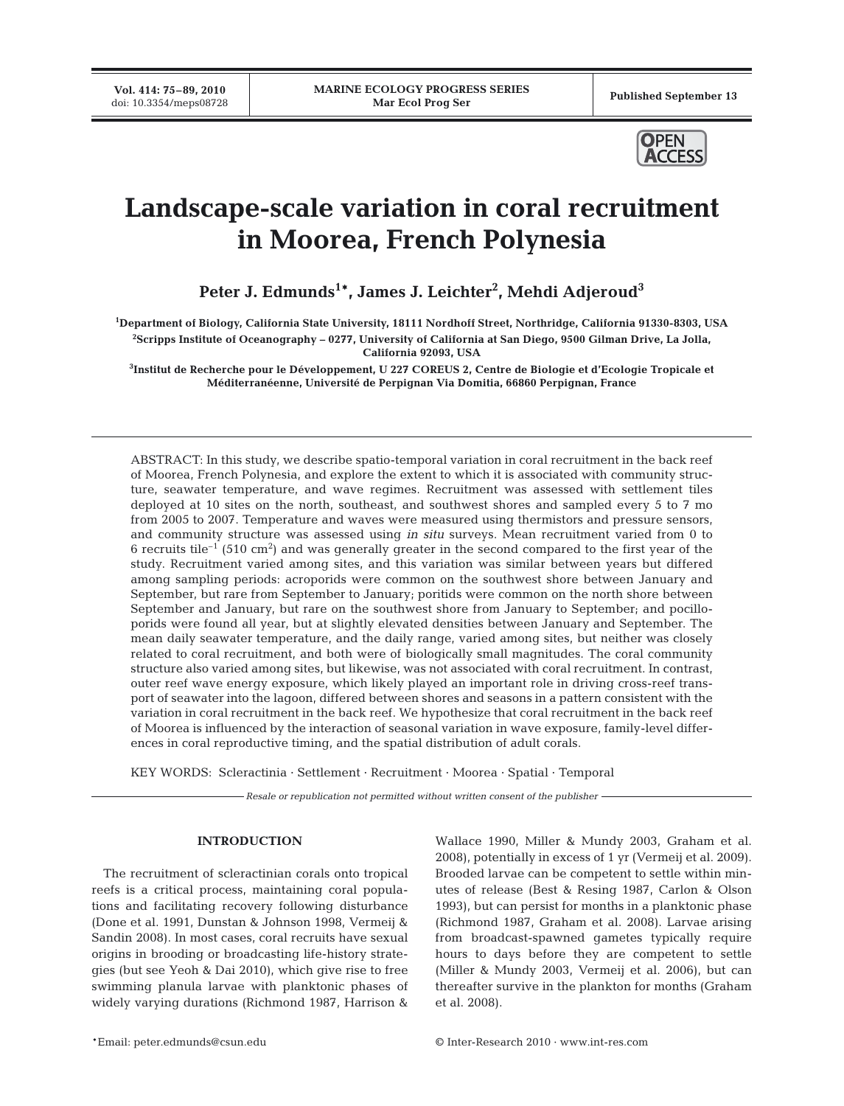**Vol. 414: 75–89, 2010**



# **Landscape-scale variation in coral recruitment in Moorea, French Polynesia**

**Peter J. Edmunds1\*, James J. Leichter2 , Mehdi Adjeroud3**

**1 Department of Biology, California State University, 18111 Nordhoff Street, Northridge, California 91330-8303, USA 2 Scripps Institute of Oceanography – 0277, University of California at San Diego, 9500 Gilman Drive, La Jolla,**

**California 92093, USA**

**3 Institut de Recherche pour le Développement, U 227 COREUS 2, Centre de Biologie et d'Ecologie Tropicale et Méditerranéenne, Université de Perpignan Via Domitia, 66860 Perpignan, France**

ABSTRACT: In this study, we describe spatio-temporal variation in coral recruitment in the back reef of Moorea, French Polynesia, and explore the extent to which it is associated with community structure, seawater temperature, and wave regimes. Recruitment was assessed with settlement tiles deployed at 10 sites on the north, southeast, and southwest shores and sampled every 5 to 7 mo from 2005 to 2007. Temperature and waves were measured using thermistors and pressure sensors, and community structure was assessed using *in situ* surveys. Mean recruitment varied from 0 to 6 recruits tile<sup>-1</sup> (510 cm<sup>2</sup>) and was generally greater in the second compared to the first year of the study. Recruitment varied among sites, and this variation was similar between years but differed among sampling periods: acroporids were common on the southwest shore between January and September, but rare from September to January; poritids were common on the north shore between September and January, but rare on the southwest shore from January to September; and pocilloporids were found all year, but at slightly elevated densities between January and September. The mean daily seawater temperature, and the daily range, varied among sites, but neither was closely related to coral recruitment, and both were of biologically small magnitudes. The coral community structure also varied among sites, but likewise, was not associated with coral recruitment. In contrast, outer reef wave energy exposure, which likely played an important role in driving cross-reef transport of seawater into the lagoon, differed between shores and seasons in a pattern consistent with the variation in coral recruitment in the back reef. We hypothesize that coral recruitment in the back reef of Moorea is influenced by the interaction of seasonal variation in wave exposure, family-level differences in coral reproductive timing, and the spatial distribution of adult corals.

KEY WORDS: Scleractinia · Settlement · Recruitment · Moorea · Spatial · Temporal

*Resale or republication not permitted without written consent of the publisher*

## **INTRODUCTION**

The recruitment of scleractinian corals onto tropical reefs is a critical process, maintaining coral populations and facilitating recovery following disturbance (Done et al. 1991, Dunstan & Johnson 1998, Vermeij & Sandin 2008). In most cases, coral recruits have sexual origins in brooding or broadcasting life-history strategies (but see Yeoh & Dai 2010), which give rise to free swimming planula larvae with planktonic phases of widely varying durations (Richmond 1987, Harrison &

Wallace 1990, Miller & Mundy 2003, Graham et al. 2008), potentially in excess of 1 yr (Vermeij et al. 2009). Brooded larvae can be competent to settle within minutes of release (Best & Resing 1987, Carlon & Olson 1993), but can persist for months in a planktonic phase (Richmond 1987, Graham et al. 2008). Larvae arising from broadcast-spawned gametes typically require hours to days before they are competent to settle (Miller & Mundy 2003, Vermeij et al. 2006), but can thereafter survive in the plankton for months (Graham et al. 2008).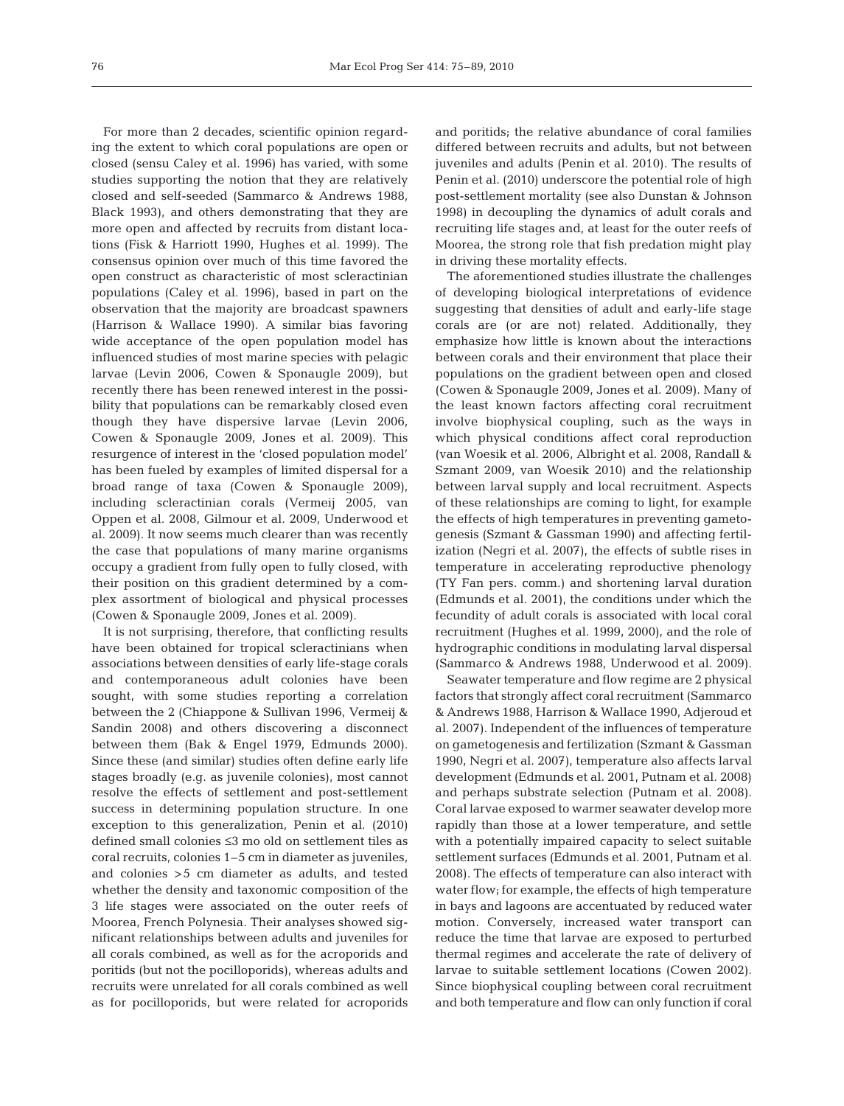For more than 2 decades, scientific opinion regarding the extent to which coral populations are open or closed (sensu Caley et al. 1996) has varied, with some studies supporting the notion that they are relatively closed and self-seeded (Sammarco & Andrews 1988, Black 1993), and others demonstrating that they are more open and affected by recruits from distant locations (Fisk & Harriott 1990, Hughes et al. 1999). The consensus opinion over much of this time favored the open construct as characteristic of most scleractinian populations (Caley et al. 1996), based in part on the observation that the majority are broadcast spawners (Harrison & Wallace 1990). A similar bias favoring wide acceptance of the open population model has influenced studies of most marine species with pelagic larvae (Levin 2006, Cowen & Sponaugle 2009), but recently there has been renewed interest in the possibility that populations can be remarkably closed even though they have dispersive larvae (Levin 2006, Cowen & Sponaugle 2009, Jones et al. 2009). This resurgence of interest in the 'closed population model' has been fueled by examples of limited dispersal for a broad range of taxa (Cowen & Sponaugle 2009), including scleractinian corals (Vermeij 2005, van Oppen et al. 2008, Gilmour et al. 2009, Underwood et al. 2009). It now seems much clearer than was recently the case that populations of many marine organisms occupy a gradient from fully open to fully closed, with their position on this gradient determined by a complex assortment of biological and physical processes (Cowen & Sponaugle 2009, Jones et al. 2009).

It is not surprising, therefore, that conflicting results have been obtained for tropical scleractinians when associations between densities of early life-stage corals and contemporaneous adult colonies have been sought, with some studies reporting a correlation between the 2 (Chiappone & Sullivan 1996, Vermeij & Sandin 2008) and others discovering a disconnect between them (Bak & Engel 1979, Edmunds 2000). Since these (and similar) studies often define early life stages broadly (e.g. as juvenile colonies), most cannot resolve the effects of settlement and post-settlement success in determining population structure. In one exception to this generalization, Penin et al. (2010) defined small colonies ≤3 mo old on settlement tiles as coral recruits, colonies 1–5 cm in diameter as juveniles, and colonies >5 cm diameter as adults, and tested whether the density and taxonomic composition of the 3 life stages were associated on the outer reefs of Moorea, French Polynesia. Their analyses showed significant relationships between adults and juveniles for all corals combined, as well as for the acroporids and poritids (but not the pocilloporids), whereas adults and recruits were unrelated for all corals combined as well as for pocilloporids, but were related for acroporids

and poritids; the relative abundance of coral families differed between recruits and adults, but not between juveniles and adults (Penin et al. 2010). The results of Penin et al. (2010) underscore the potential role of high post-settlement mortality (see also Dunstan & Johnson 1998) in decoupling the dynamics of adult corals and recruiting life stages and, at least for the outer reefs of Moorea, the strong role that fish predation might play in driving these mortality effects.

The aforementioned studies illustrate the challenges of developing biological interpretations of evidence suggesting that densities of adult and early-life stage corals are (or are not) related. Additionally, they emphasize how little is known about the interactions between corals and their environment that place their populations on the gradient between open and closed (Cowen & Sponaugle 2009, Jones et al. 2009). Many of the least known factors affecting coral recruitment involve biophysical coupling, such as the ways in which physical conditions affect coral reproduction (van Woesik et al. 2006, Albright et al. 2008, Randall & Szmant 2009, van Woesik 2010) and the relationship between larval supply and local recruitment. Aspects of these relationships are coming to light, for example the effects of high temperatures in preventing gametogenesis (Szmant & Gassman 1990) and affecting fertilization (Negri et al. 2007), the effects of subtle rises in temperature in accelerating reproductive phenology (TY Fan pers. comm.) and shortening larval duration (Edmunds et al. 2001), the conditions under which the fecundity of adult corals is associated with local coral recruitment (Hughes et al. 1999, 2000), and the role of hydrographic conditions in modulating larval dispersal (Sammarco & Andrews 1988, Underwood et al. 2009).

Seawater temperature and flow regime are 2 physical factors that strongly affect coral recruitment (Sammarco & Andrews 1988, Harrison & Wallace 1990, Adjeroud et al. 2007). Independent of the influences of temperature on gametogenesis and fertilization (Szmant & Gassman 1990, Negri et al. 2007), temperature also affects larval development (Edmunds et al. 2001, Putnam et al. 2008) and perhaps substrate selection (Putnam et al. 2008). Coral larvae exposed to warmer seawater develop more rapidly than those at a lower temperature, and settle with a potentially impaired capacity to select suitable settlement surfaces (Edmunds et al. 2001, Putnam et al. 2008). The effects of temperature can also interact with water flow; for example, the effects of high temperature in bays and lagoons are accentuated by reduced water motion. Conversely, increased water transport can reduce the time that larvae are exposed to perturbed thermal regimes and accelerate the rate of delivery of larvae to suitable settlement locations (Cowen 2002). Since biophysical coupling between coral recruitment and both temperature and flow can only function if coral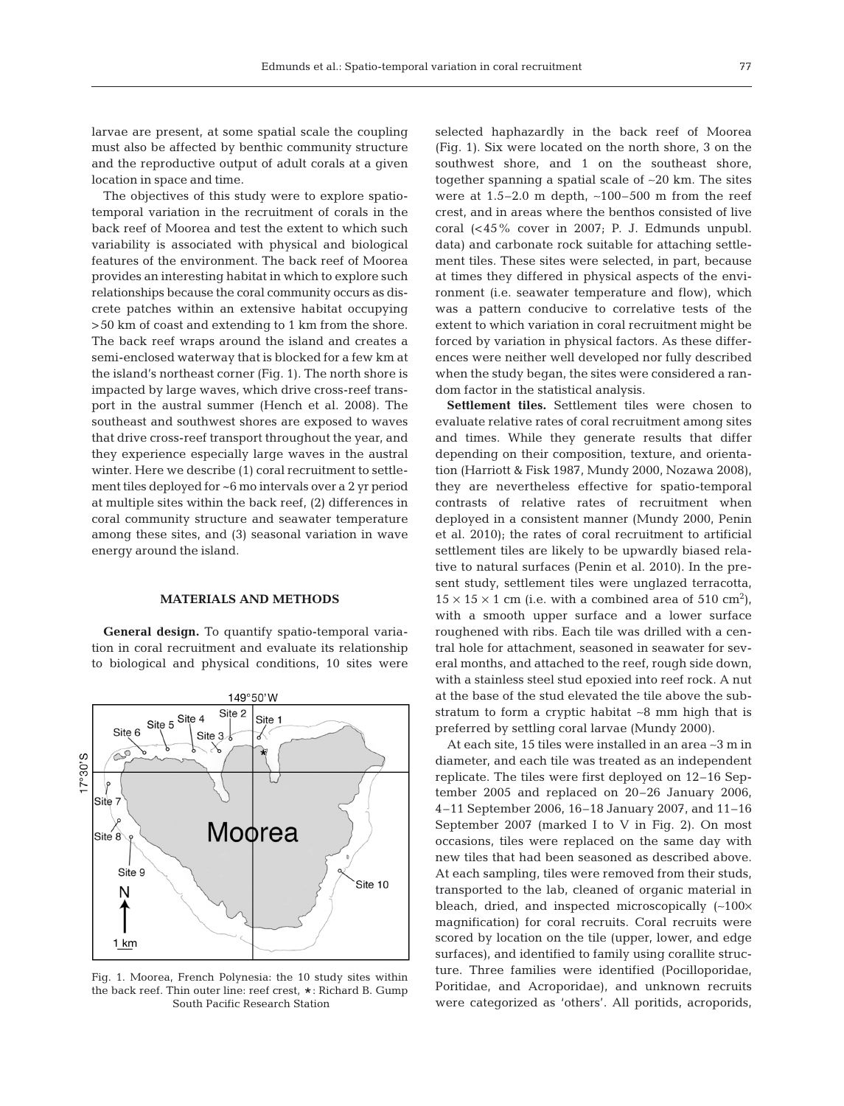larvae are present, at some spatial scale the coupling must also be affected by benthic community structure and the reproductive output of adult corals at a given location in space and time.

The objectives of this study were to explore spatiotemporal variation in the recruitment of corals in the back reef of Moorea and test the extent to which such variability is associated with physical and biological features of the environment. The back reef of Moorea provides an interesting habitat in which to explore such relationships because the coral community occurs as discrete patches within an extensive habitat occupying >50 km of coast and extending to 1 km from the shore. The back reef wraps around the island and creates a semi-enclosed waterway that is blocked for a few km at the island's northeast corner (Fig. 1). The north shore is impacted by large waves, which drive cross-reef transport in the austral summer (Hench et al. 2008). The southeast and southwest shores are exposed to waves that drive cross-reef transport throughout the year, and they experience especially large waves in the austral winter. Here we describe (1) coral recruitment to settlement tiles deployed for ~6 mo intervals over a 2 yr period at multiple sites within the back reef, (2) differences in coral community structure and seawater temperature among these sites, and (3) seasonal variation in wave energy around the island.

#### **MATERIALS AND METHODS**

**General design.** To quantify spatio-temporal variation in coral recruitment and evaluate its relationship to biological and physical conditions, 10 sites were



Fig. 1. Moorea, French Polynesia: the 10 study sites within the back reef. Thin outer line: reef crest,  $\star$ : Richard B. Gump South Pacific Research Station

selected haphazardly in the back reef of Moorea (Fig. 1). Six were located on the north shore, 3 on the southwest shore, and 1 on the southeast shore, together spanning a spatial scale of ∼20 km. The sites were at 1.5–2.0 m depth, ∼100–500 m from the reef crest, and in areas where the benthos consisted of live coral (<45% cover in 2007; P. J. Edmunds unpubl. data) and carbonate rock suitable for attaching settlement tiles. These sites were selected, in part, because at times they differed in physical aspects of the environment (i.e. seawater temperature and flow), which was a pattern conducive to correlative tests of the extent to which variation in coral recruitment might be forced by variation in physical factors. As these differences were neither well developed nor fully described when the study began, the sites were considered a random factor in the statistical analysis.

**Settlement tiles.** Settlement tiles were chosen to evaluate relative rates of coral recruitment among sites and times. While they generate results that differ depending on their composition, texture, and orientation (Harriott & Fisk 1987, Mundy 2000, Nozawa 2008), they are nevertheless effective for spatio-temporal contrasts of relative rates of recruitment when deployed in a consistent manner (Mundy 2000, Penin et al. 2010); the rates of coral recruitment to artificial settlement tiles are likely to be upwardly biased relative to natural surfaces (Penin et al. 2010). In the present study, settlement tiles were unglazed terracotta,  $15 \times 15 \times 1$  cm (i.e. with a combined area of 510 cm<sup>2</sup>), with a smooth upper surface and a lower surface roughened with ribs. Each tile was drilled with a central hole for attachment, seasoned in seawater for several months, and attached to the reef, rough side down, with a stainless steel stud epoxied into reef rock. A nut at the base of the stud elevated the tile above the substratum to form a cryptic habitat ∼8 mm high that is preferred by settling coral larvae (Mundy 2000).

At each site, 15 tiles were installed in an area ∼3 m in diameter, and each tile was treated as an independent replicate. The tiles were first deployed on 12–16 September 2005 and replaced on 20–26 January 2006, 4–11 September 2006, 16–18 January 2007, and 11–16 September 2007 (marked I to V in Fig. 2). On most occasions, tiles were replaced on the same day with new tiles that had been seasoned as described above. At each sampling, tiles were removed from their studs, transported to the lab, cleaned of organic material in bleach, dried, and inspected microscopically (∼100× magnification) for coral recruits. Coral recruits were scored by location on the tile (upper, lower, and edge surfaces), and identified to family using corallite structure. Three families were identified (Pocilloporidae, Poritidae, and Acroporidae), and unknown recruits were categorized as 'others'. All poritids, acroporids,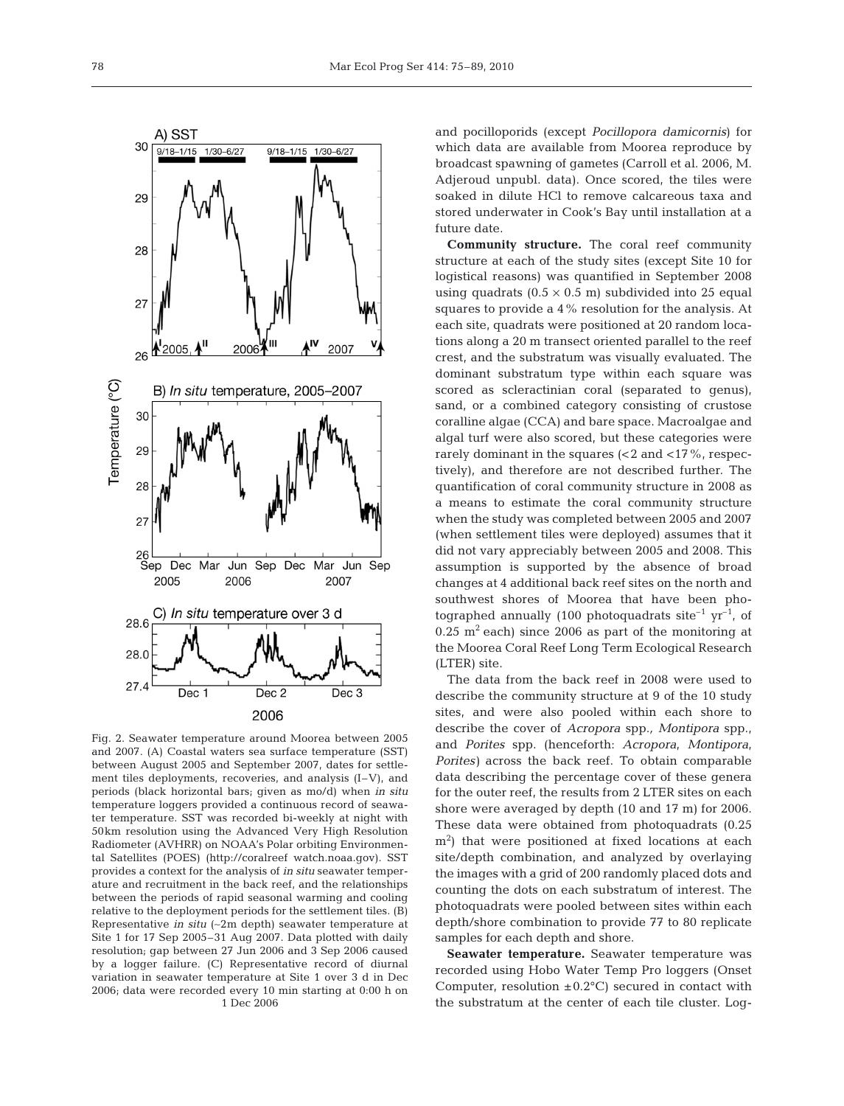

Fig. 2. Seawater temperature around Moorea between 2005 and 2007. (A) Coastal waters sea surface temperature (SST) between August 2005 and September 2007, dates for settlement tiles deployments, recoveries, and analysis (I–V), and periods (black horizontal bars; given as mo/d) when *in situ* temperature loggers provided a continuous record of seawater temperature. SST was recorded bi-weekly at night with 50km resolution using the Advanced Very High Resolution Radiometer (AVHRR) on NOAA's Polar orbiting Environmental Satellites (POES) (http://coralreef watch.noaa.gov). SST provides a context for the analysis of *in situ* seawater temperature and recruitment in the back reef, and the relationships between the periods of rapid seasonal warming and cooling relative to the deployment periods for the settlement tiles. (B) Representative *in situ* (∼2m depth) seawater temperature at Site 1 for 17 Sep 2005–31 Aug 2007. Data plotted with daily resolution; gap between 27 Jun 2006 and 3 Sep 2006 caused by a logger failure. (C) Representative record of diurnal variation in seawater temperature at Site 1 over 3 d in Dec 2006; data were recorded every 10 min starting at 0:00 h on 1 Dec 2006

and pocilloporids (except *Pocillopora damicornis*) for which data are available from Moorea reproduce by broadcast spawning of gametes (Carroll et al. 2006, M. Adjeroud unpubl. data). Once scored, the tiles were soaked in dilute HCl to remove calcareous taxa and stored underwater in Cook's Bay until installation at a future date.

**Community structure.** The coral reef community structure at each of the study sites (except Site 10 for logistical reasons) was quantified in September 2008 using quadrats  $(0.5 \times 0.5 \text{ m})$  subdivided into 25 equal squares to provide a 4% resolution for the analysis. At each site, quadrats were positioned at 20 random locations along a 20 m transect oriented parallel to the reef crest, and the substratum was visually evaluated. The dominant substratum type within each square was scored as scleractinian coral (separated to genus), sand, or a combined category consisting of crustose coralline algae (CCA) and bare space. Macroalgae and algal turf were also scored, but these categories were rarely dominant in the squares (<2 and <17%, respectively), and therefore are not described further. The quantification of coral community structure in 2008 as a means to estimate the coral community structure when the study was completed between 2005 and 2007 (when settlement tiles were deployed) assumes that it did not vary appreciably between 2005 and 2008. This assumption is supported by the absence of broad changes at 4 additional back reef sites on the north and southwest shores of Moorea that have been photographed annually (100 photoquadrats site<sup>-1</sup> yr<sup>-1</sup>, of  $0.25$  m<sup>2</sup> each) since 2006 as part of the monitoring at the Moorea Coral Reef Long Term Ecological Research (LTER) site.

The data from the back reef in 2008 were used to describe the community structure at 9 of the 10 study sites, and were also pooled within each shore to describe the cover of *Acropora* spp.*, Montipora* spp., and *Porites* spp. (henceforth: *Acropora*, *Montipora*, *Porites)* across the back reef. To obtain comparable data describing the percentage cover of these genera for the outer reef, the results from 2 LTER sites on each shore were averaged by depth (10 and 17 m) for 2006. These data were obtained from photoquadrats (0.25 m2 ) that were positioned at fixed locations at each site/depth combination, and analyzed by overlaying the images with a grid of 200 randomly placed dots and counting the dots on each substratum of interest. The photoquadrats were pooled between sites within each depth/shore combination to provide 77 to 80 replicate samples for each depth and shore.

**Seawater temperature.** Seawater temperature was recorded using Hobo Water Temp Pro loggers (Onset Computer, resolution  $\pm 0.2$ °C) secured in contact with the substratum at the center of each tile cluster. Log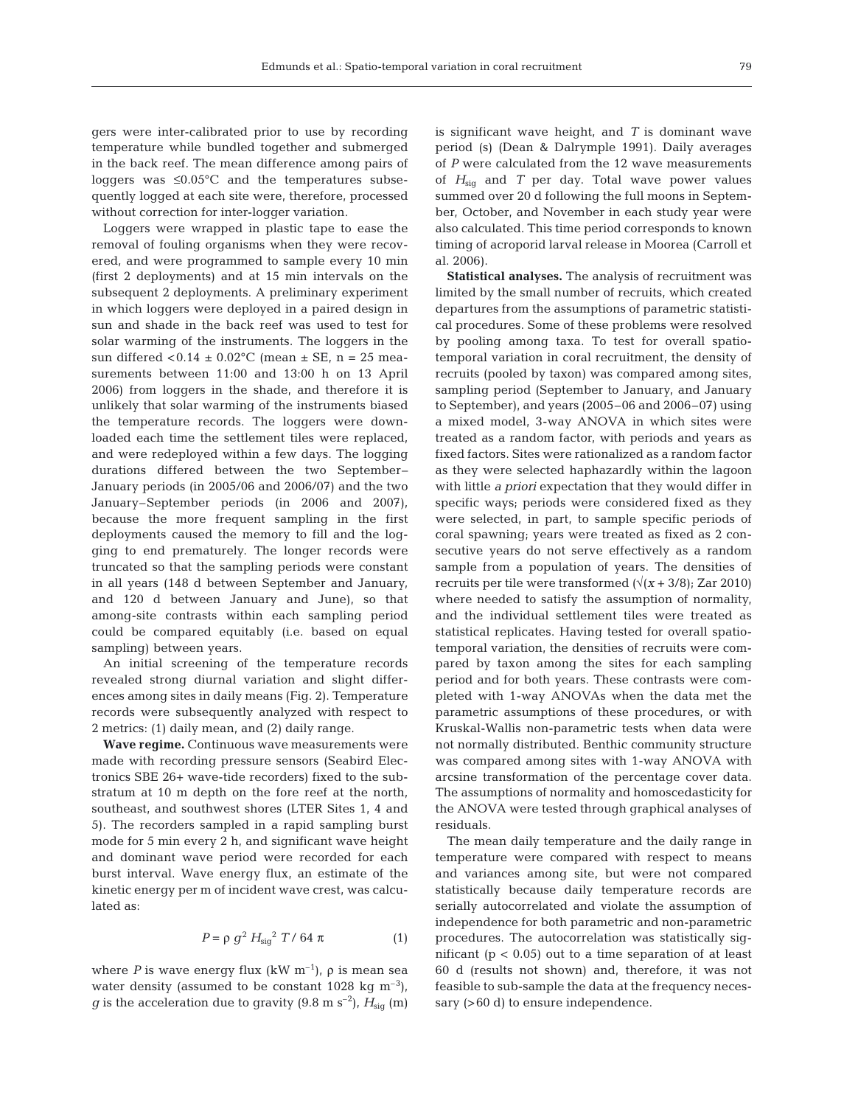gers were inter-calibrated prior to use by recording temperature while bundled together and submerged in the back reef. The mean difference among pairs of loggers was ≤0.05°C and the temperatures subsequently logged at each site were, therefore, processed without correction for inter-logger variation.

Loggers were wrapped in plastic tape to ease the removal of fouling organisms when they were recovered, and were programmed to sample every 10 min (first 2 deployments) and at 15 min intervals on the subsequent 2 deployments. A preliminary experiment in which loggers were deployed in a paired design in sun and shade in the back reef was used to test for solar warming of the instruments. The loggers in the sun differed <0.14  $\pm$  0.02°C (mean  $\pm$  SE, n = 25 measurements between 11:00 and 13:00 h on 13 April 2006) from loggers in the shade, and therefore it is unlikely that solar warming of the instruments biased the temperature records. The loggers were downloaded each time the settlement tiles were replaced, and were redeployed within a few days. The logging durations differed between the two September– January periods (in 2005/06 and 2006/07) and the two January–September periods (in 2006 and 2007), because the more frequent sampling in the first deployments caused the memory to fill and the logging to end prematurely. The longer records were truncated so that the sampling periods were constant in all years (148 d between September and January, and 120 d between January and June), so that among-site contrasts within each sampling period could be compared equitably (i.e. based on equal sampling) between years.

An initial screening of the temperature records revealed strong diurnal variation and slight differences among sites in daily means (Fig. 2). Temperature records were subsequently analyzed with respect to 2 metrics: (1) daily mean, and (2) daily range.

**Wave regime.** Continuous wave measurements were made with recording pressure sensors (Seabird Electronics SBE 26+ wave-tide recorders) fixed to the substratum at 10 m depth on the fore reef at the north, southeast, and southwest shores (LTER Sites 1, 4 and 5). The recorders sampled in a rapid sampling burst mode for 5 min every 2 h, and significant wave height and dominant wave period were recorded for each burst interval. Wave energy flux, an estimate of the kinetic energy per m of incident wave crest, was calculated as:

$$
P = \rho g^2 H_{\text{sig}}^2 T / 64 \pi
$$
 (1)

where *P* is wave energy flux  $(kW \, m^{-1})$ ,  $\rho$  is mean sea water density (assumed to be constant 1028 kg  $m^{-3}$ ), *g* is the acceleration due to gravity (9.8 m s<sup>-2</sup>),  $H_{\text{sig}}$  (m) is significant wave height, and *T* is dominant wave period (s) (Dean & Dalrymple 1991). Daily averages of *P* were calculated from the 12 wave measurements of *H*sig and *T* per day. Total wave power values summed over 20 d following the full moons in September, October, and November in each study year were also calculated. This time period corresponds to known timing of acroporid larval release in Moorea (Carroll et al. 2006).

**Statistical analyses.** The analysis of recruitment was limited by the small number of recruits, which created departures from the assumptions of parametric statistical procedures. Some of these problems were resolved by pooling among taxa. To test for overall spatiotemporal variation in coral recruitment, the density of recruits (pooled by taxon) was compared among sites, sampling period (September to January, and January to September), and years (2005–06 and 2006–07) using a mixed model, 3-way ANOVA in which sites were treated as a random factor, with periods and years as fixed factors. Sites were rationalized as a random factor as they were selected haphazardly within the lagoon with little *a priori* expectation that they would differ in specific ways; periods were considered fixed as they were selected, in part, to sample specific periods of coral spawning; years were treated as fixed as 2 consecutive years do not serve effectively as a random sample from a population of years. The densities of recruits per tile were transformed  $(\sqrt{(x+3/8)}; \text{Zar } 2010)$ where needed to satisfy the assumption of normality, and the individual settlement tiles were treated as statistical replicates. Having tested for overall spatiotemporal variation, the densities of recruits were compared by taxon among the sites for each sampling period and for both years. These contrasts were completed with 1-way ANOVAs when the data met the parametric assumptions of these procedures, or with Kruskal-Wallis non-parametric tests when data were not normally distributed. Benthic community structure was compared among sites with 1-way ANOVA with arcsine transformation of the percentage cover data. The assumptions of normality and homoscedasticity for the ANOVA were tested through graphical analyses of residuals.

The mean daily temperature and the daily range in temperature were compared with respect to means and variances among site, but were not compared statistically because daily temperature records are serially autocorrelated and violate the assumption of independence for both parametric and non-parametric procedures. The autocorrelation was statistically significant ( $p < 0.05$ ) out to a time separation of at least 60 d (results not shown) and, therefore, it was not feasible to sub-sample the data at the frequency necessary (>60 d) to ensure independence.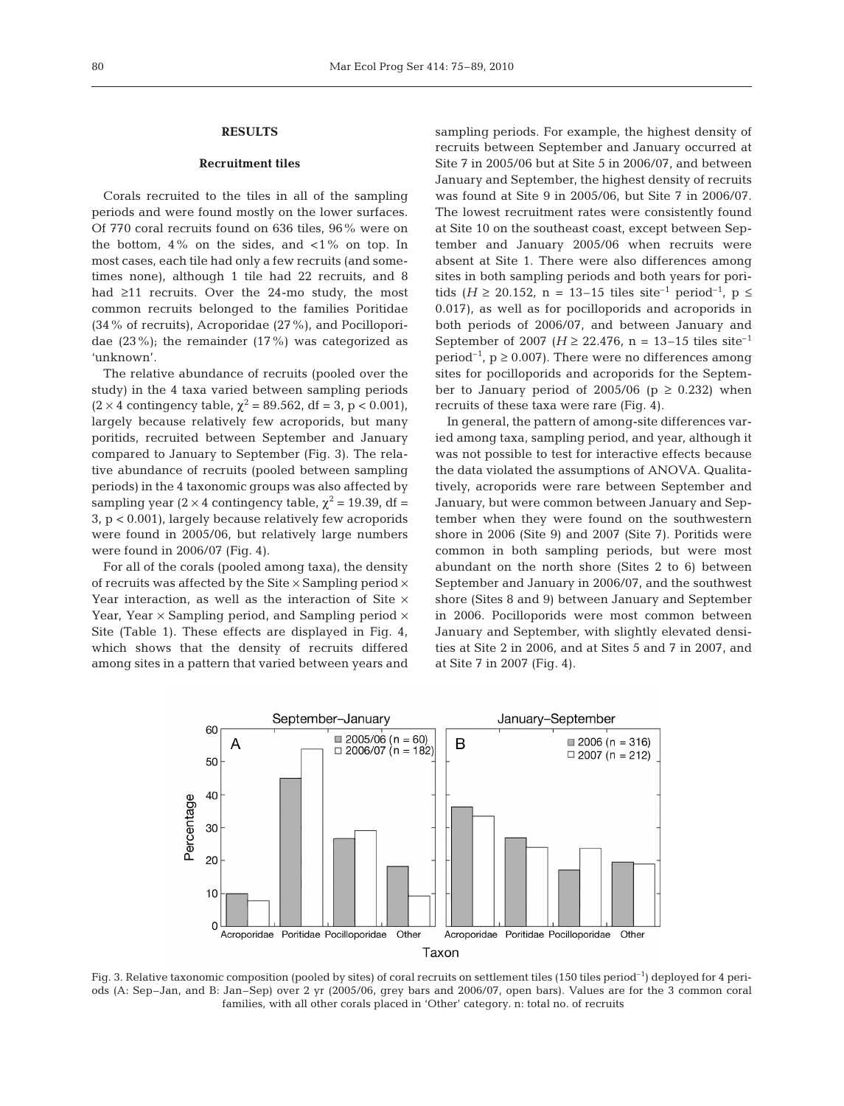### **RESULTS**

#### **Recruitment tiles**

Corals recruited to the tiles in all of the sampling periods and were found mostly on the lower surfaces. Of 770 coral recruits found on 636 tiles, 96% were on the bottom,  $4\%$  on the sides, and  $\langle 1\%$  on top. In most cases, each tile had only a few recruits (and sometimes none), although 1 tile had 22 recruits, and 8 had ≥11 recruits. Over the 24-mo study, the most common recruits belonged to the families Poritidae (34% of recruits), Acroporidae (27%), and Pocilloporidae  $(23\%)$ ; the remainder  $(17\%)$  was categorized as 'unknown'.

The relative abundance of recruits (pooled over the study) in the 4 taxa varied between sampling periods  $(2 \times 4 \text{ contingency table}, \chi^2 = 89.562, \text{ df} = 3, \text{ p} < 0.001),$ largely because relatively few acroporids, but many poritids, recruited between September and January compared to January to September (Fig. 3). The relative abundance of recruits (pooled between sampling periods) in the 4 taxonomic groups was also affected by sampling year (2 × 4 contingency table,  $\chi^2$  = 19.39, df = 3, p < 0.001), largely because relatively few acroporids were found in 2005/06, but relatively large numbers were found in 2006/07 (Fig. 4).

For all of the corals (pooled among taxa), the density of recruits was affected by the Site  $\times$  Sampling period  $\times$ Year interaction, as well as the interaction of Site  $\times$ Year, Year  $\times$  Sampling period, and Sampling period  $\times$ Site (Table 1). These effects are displayed in Fig. 4, which shows that the density of recruits differed among sites in a pattern that varied between years and sampling periods. For example, the highest density of recruits between September and January occurred at Site 7 in 2005/06 but at Site 5 in 2006/07, and between January and September, the highest density of recruits was found at Site 9 in 2005/06, but Site 7 in 2006/07. The lowest recruitment rates were consistently found at Site 10 on the southeast coast, except between September and January 2005/06 when recruits were absent at Site 1. There were also differences among sites in both sampling periods and both years for poritids (*H* ≥ 20.152, n = 13–15 tiles site<sup>-1</sup> period<sup>-1</sup>, p ≤ 0.017), as well as for pocilloporids and acroporids in both periods of 2006/07, and between January and September of 2007 ( $H \ge 22.476$ , n = 13–15 tiles site<sup>-1</sup> period<sup>-1</sup>,  $p \ge 0.007$ ). There were no differences among sites for pocilloporids and acroporids for the September to January period of 2005/06 ( $p \ge 0.232$ ) when recruits of these taxa were rare (Fig. 4).

In general, the pattern of among-site differences varied among taxa, sampling period, and year, although it was not possible to test for interactive effects because the data violated the assumptions of ANOVA. Qualitatively, acroporids were rare between September and January, but were common between January and September when they were found on the southwestern shore in 2006 (Site 9) and 2007 (Site 7). Poritids were common in both sampling periods, but were most abundant on the north shore (Sites 2 to 6) between September and January in 2006/07, and the southwest shore (Sites 8 and 9) between January and September in 2006. Pocilloporids were most common between January and September, with slightly elevated densities at Site 2 in 2006, and at Sites 5 and 7 in 2007, and at Site 7 in 2007 (Fig. 4).



Fig. 3. Relative taxonomic composition (pooled by sites) of coral recruits on settlement tiles (150 tiles period<sup>-1</sup>) deployed for 4 periods (A: Sep–Jan, and B: Jan–Sep) over 2 yr (2005/06, grey bars and 2006/07, open bars). Values are for the 3 common coral families, with all other corals placed in 'Other' category. n: total no. of recruits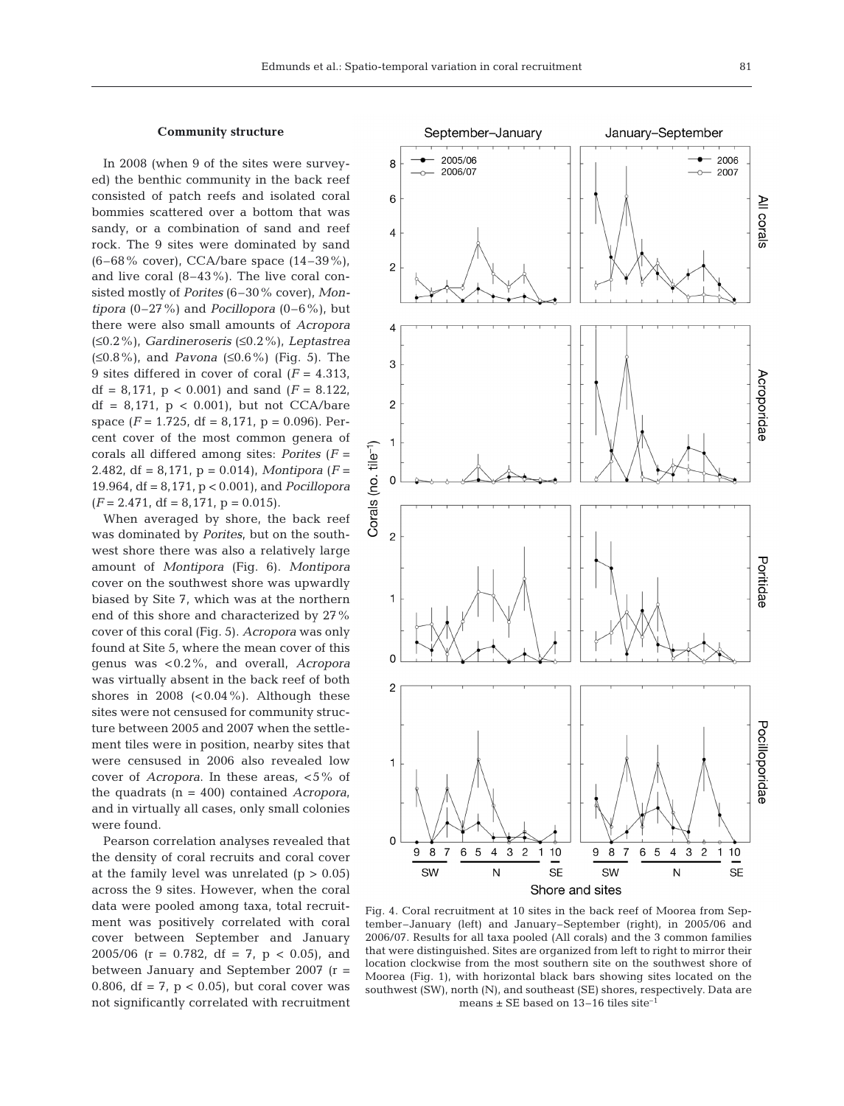#### **Community structure**

In 2008 (when 9 of the sites were surveyed) the benthic community in the back reef consisted of patch reefs and isolated coral bommies scattered over a bottom that was sandy, or a combination of sand and reef rock. The 9 sites were dominated by sand (6–68% cover), CCA/bare space (14–39%), and live coral (8–43%). The live coral consisted mostly of *Porites* (6–30% cover), *Montipora* (0–27%) and *Pocillopora* (0–6%), but there were also small amounts of *Acropora* (≤0.2%), *Gardineroseris* (≤0.2%), *Leptastrea* (≤0.8%), and *Pavona* (≤0.6%) (Fig. 5). The 9 sites differed in cover of coral (*F* = 4.313, df = 8,171,  $p < 0.001$ ) and sand  $(F = 8.122)$ , df =  $8,171$ ,  $p < 0.001$ ), but not CCA/bare space  $(F = 1.725, df = 8.171, p = 0.096)$ . Percent cover of the most common genera of corals all differed among sites: *Porites* (*F* = 2.482, df = 8,171, p = 0.014), *Montipora* (*F* = 19.964, df = 8,171, p < 0.001), and *Pocillopora*  $(F = 2.471, df = 8,171, p = 0.015).$ 

When averaged by shore, the back reef was dominated by *Porites*, but on the southwest shore there was also a relatively large amount of *Montipora* (Fig. 6). *Montipora* cover on the southwest shore was upwardly biased by Site 7, which was at the northern end of this shore and characterized by 27% cover of this coral (Fig. 5). *Acropora* was only found at Site 5, where the mean cover of this genus was <0.2%, and overall, *Acropora* was virtually absent in the back reef of both shores in 2008  $( $0.04\%$ ). Although these$ sites were not censused for community structure between 2005 and 2007 when the settlement tiles were in position, nearby sites that were censused in 2006 also revealed low cover of *Acropora*. In these areas, <5% of the quadrats (n = 400) contained *Acropora*, and in virtually all cases, only small colonies were found.

Pearson correlation analyses revealed that the density of coral recruits and coral cover at the family level was unrelated  $(p > 0.05)$ across the 9 sites. However, when the coral data were pooled among taxa, total recruitment was positively correlated with coral cover between September and January 2005/06 ( $r = 0.782$ , df = 7,  $p < 0.05$ ), and between January and September 2007 (r = 0.806, df = 7,  $p$  < 0.05), but coral cover was not significantly correlated with recruitment



Shore and sites

Fig. 4. Coral recruitment at 10 sites in the back reef of Moorea from September–January (left) and January–September (right), in 2005/06 and 2006/07. Results for all taxa pooled (All corals) and the 3 common families that were distinguished. Sites are organized from left to right to mirror their location clockwise from the most southern site on the southwest shore of Moorea (Fig. 1), with horizontal black bars showing sites located on the southwest (SW), north (N), and southeast (SE) shores, respectively. Data are means  $\pm$  SE based on 13–16 tiles site<sup>-1</sup>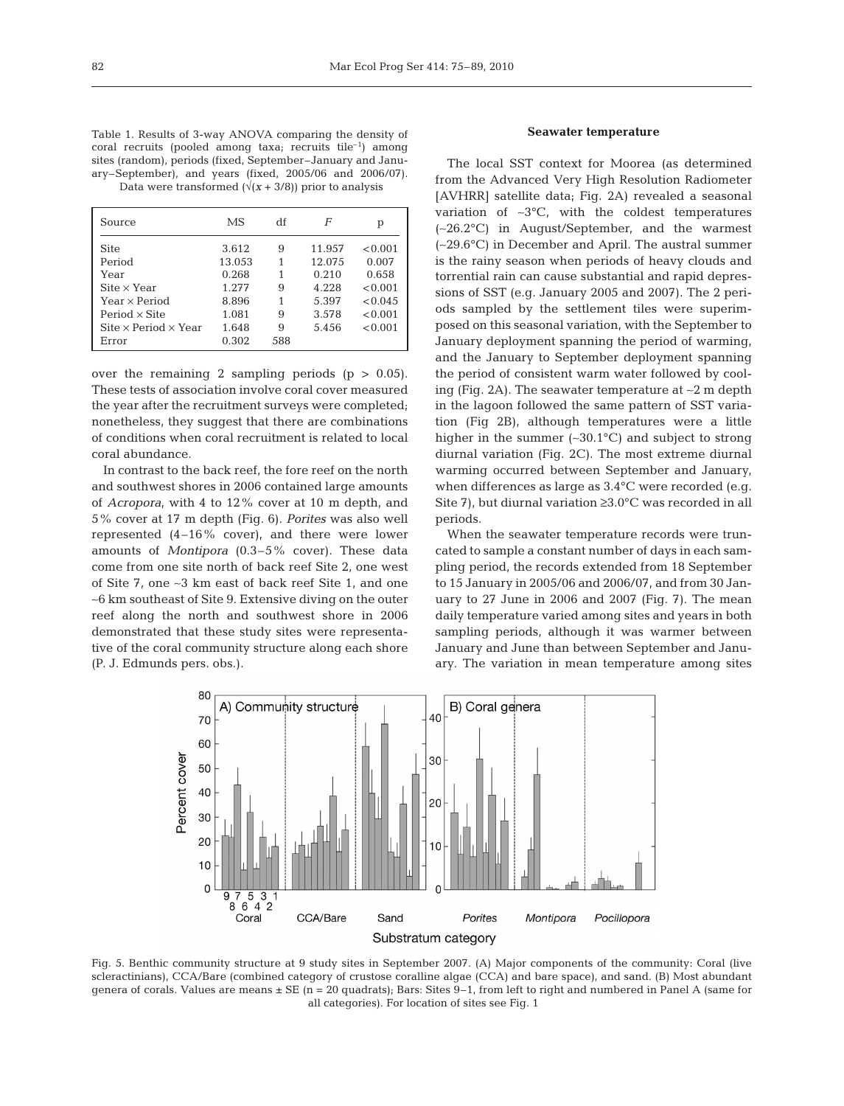Table 1. Results of 3-way ANOVA comparing the density of coral recruits (pooled among taxa; recruits tile<sup>-1</sup>) among sites (random), periods (fixed, September–January and January–September), and years (fixed, 2005/06 and 2006/07).

Data were transformed  $(\sqrt{(x+3/8)})$  prior to analysis

| Source                                                | МS     | df  | F      | р       |
|-------------------------------------------------------|--------|-----|--------|---------|
| <b>Site</b>                                           | 3.612  | 9   | 11.957 | < 0.001 |
| Period                                                | 13.053 | 1   | 12.075 | 0.007   |
| Year                                                  | 0.268  | 1   | 0.210  | 0.658   |
| $\text{Site} \times \text{Year}$                      | 1.277  | 9   | 4.228  | < 0.001 |
| Year $\times$ Period                                  | 8.896  | 1   | 5.397  | < 0.045 |
| Period $\times$ Site                                  | 1.081  | 9   | 3.578  | < 0.001 |
| $\text{Site} \times \text{Period} \times \text{Year}$ | 1.648  | 9   | 5.456  | < 0.001 |
| Error                                                 | 0.302  | 588 |        |         |

over the remaining 2 sampling periods  $(p > 0.05)$ . These tests of association involve coral cover measured the year after the recruitment surveys were completed; nonetheless, they suggest that there are combinations of conditions when coral recruitment is related to local coral abundance.

In contrast to the back reef, the fore reef on the north and southwest shores in 2006 contained large amounts of *Acropora*, with 4 to 12% cover at 10 m depth, and 5% cover at 17 m depth (Fig. 6). *Porites* was also well represented (4–16% cover), and there were lower amounts of *Montipora* (0.3–5% cover). These data come from one site north of back reef Site 2, one west of Site 7, one ∼3 km east of back reef Site 1, and one ∼6 km southeast of Site 9. Extensive diving on the outer reef along the north and southwest shore in 2006 demonstrated that these study sites were representative of the coral community structure along each shore (P. J. Edmunds pers. obs.).

## **Seawater temperature**

The local SST context for Moorea (as determined from the Advanced Very High Resolution Radiometer [AVHRR] satellite data; Fig. 2A) revealed a seasonal variation of ∼3°C, with the coldest temperatures (∼26.2°C) in August/September, and the warmest (∼29.6°C) in December and April. The austral summer is the rainy season when periods of heavy clouds and torrential rain can cause substantial and rapid depressions of SST (e.g. January 2005 and 2007). The 2 periods sampled by the settlement tiles were superimposed on this seasonal variation, with the September to January deployment spanning the period of warming, and the January to September deployment spanning the period of consistent warm water followed by cooling (Fig. 2A). The seawater temperature at ∼2 m depth in the lagoon followed the same pattern of SST variation (Fig 2B), although temperatures were a little higher in the summer (∼30.1°C) and subject to strong diurnal variation (Fig. 2C). The most extreme diurnal warming occurred between September and January, when differences as large as 3.4°C were recorded (e.g. Site 7), but diurnal variation  $\geq 3.0^{\circ}$ C was recorded in all periods.

When the seawater temperature records were truncated to sample a constant number of days in each sampling period, the records extended from 18 September to 15 January in 2005/06 and 2006/07, and from 30 January to 27 June in 2006 and 2007 (Fig. 7). The mean daily temperature varied among sites and years in both sampling periods, although it was warmer between January and June than between September and January. The variation in mean temperature among sites



Fig. 5. Benthic community structure at 9 study sites in September 2007. (A) Major components of the community: Coral (live scleractinians), CCA/Bare (combined category of crustose coralline algae (CCA) and bare space), and sand. (B) Most abundant genera of corals. Values are means  $\pm$  SE (n = 20 quadrats); Bars: Sites 9–1, from left to right and numbered in Panel A (same for all categories). For location of sites see Fig. 1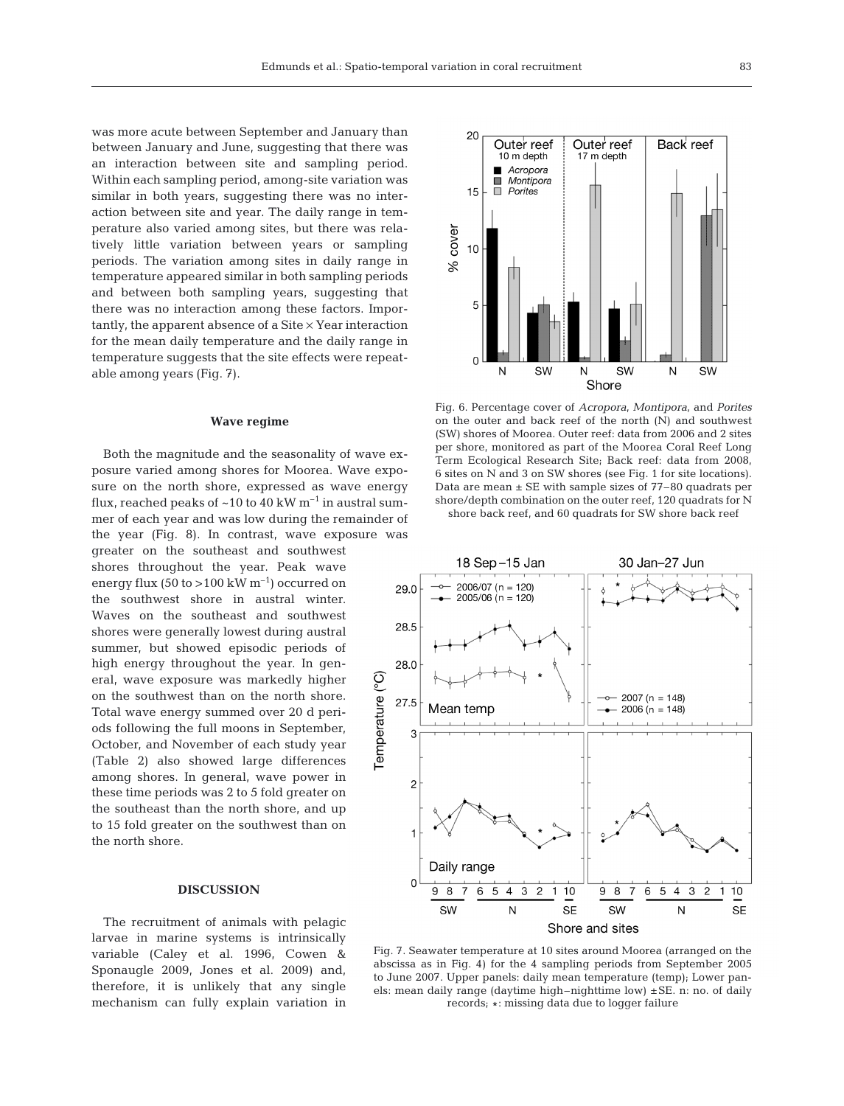was more acute between September and January than between January and June, suggesting that there was an interaction between site and sampling period. Within each sampling period, among-site variation was similar in both years, suggesting there was no interaction between site and year. The daily range in temperature also varied among sites, but there was relatively little variation between years or sampling periods. The variation among sites in daily range in temperature appeared similar in both sampling periods and between both sampling years, suggesting that there was no interaction among these factors. Importantly, the apparent absence of a Site  $\times$  Year interaction for the mean daily temperature and the daily range in temperature suggests that the site effects were repeatable among years (Fig. 7).

#### **Wave regime**

Both the magnitude and the seasonality of wave exposure varied among shores for Moorea. Wave exposure on the north shore, expressed as wave energy flux, reached peaks of  $\sim 10$  to 40 kW m<sup>-1</sup> in austral summer of each year and was low during the remainder of the year (Fig. 8). In contrast, wave exposure was

greater on the southeast and southwest shores throughout the year. Peak wave energy flux (50 to >100 kW  $m^{-1}$ ) occurred on the southwest shore in austral winter. Waves on the southeast and southwest shores were generally lowest during austral summer, but showed episodic periods of high energy throughout the year. In general, wave exposure was markedly higher on the southwest than on the north shore. Total wave energy summed over 20 d periods following the full moons in September, October, and November of each study year (Table 2) also showed large differences among shores. In general, wave power in these time periods was 2 to 5 fold greater on the southeast than the north shore, and up to 15 fold greater on the southwest than on the north shore.

## **DISCUSSION**

The recruitment of animals with pelagic larvae in marine systems is intrinsically variable (Caley et al. 1996, Cowen & Sponaugle 2009, Jones et al. 2009) and, therefore, it is unlikely that any single mechanism can fully explain variation in



Fig. 6. Percentage cover of *Acropora*, *Montipora*, and *Porites* on the outer and back reef of the north (N) and southwest (SW) shores of Moorea. Outer reef: data from 2006 and 2 sites per shore, monitored as part of the Moorea Coral Reef Long Term Ecological Research Site; Back reef: data from 2008, 6 sites on N and 3 on SW shores (see Fig. 1 for site locations). Data are mean ± SE with sample sizes of 77–80 quadrats per shore/depth combination on the outer reef, 120 quadrats for N shore back reef, and 60 quadrats for SW shore back reef



Fig. 7. Seawater temperature at 10 sites around Moorea (arranged on the abscissa as in Fig. 4) for the 4 sampling periods from September 2005 to June 2007. Upper panels: daily mean temperature (temp); Lower panels: mean daily range (daytime high–nighttime low) ±SE. n: no. of daily records; #: missing data due to logger failure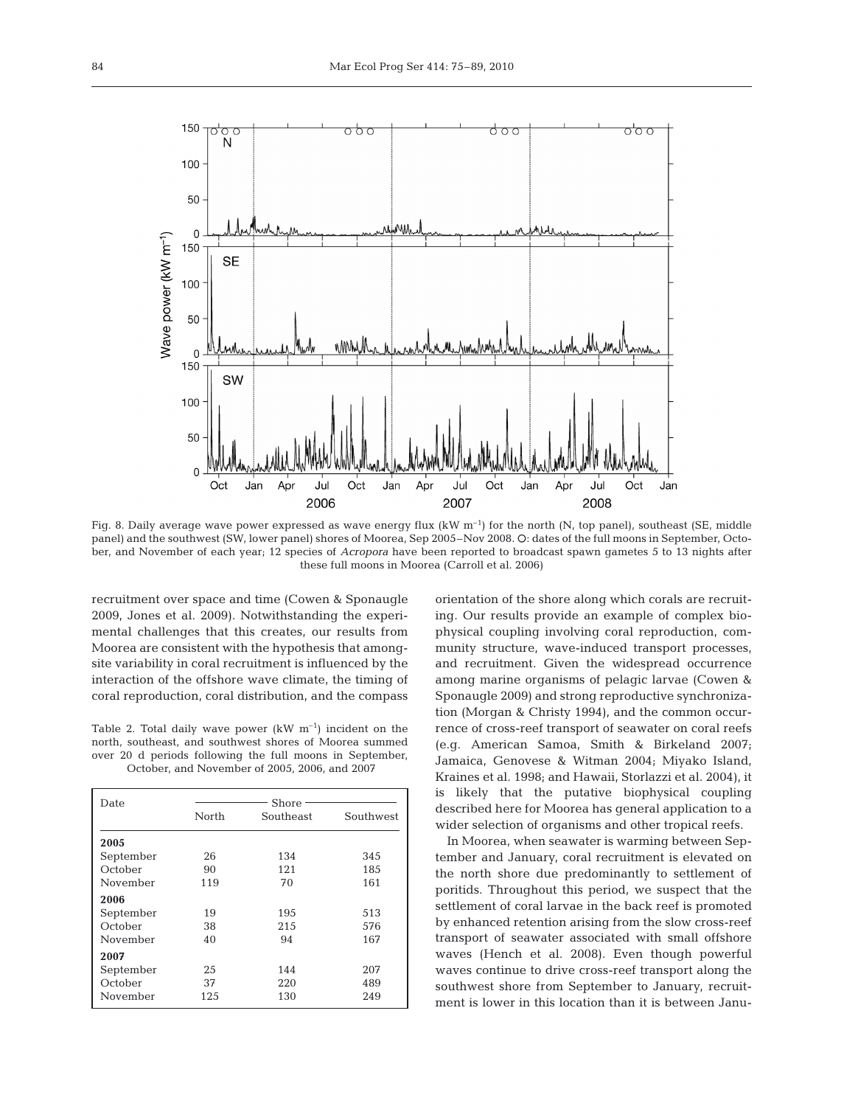

Fig. 8. Daily average wave power expressed as wave energy flux  $(kW \, m^{-1})$  for the north  $(N, \text{ top panel})$ , southeast (SE, middle panel) and the southwest (SW, lower panel) shores of Moorea, Sep 2005–Nov 2008. Q: dates of the full moons in September, October, and November of each year; 12 species of *Acropora* have been reported to broadcast spawn gametes 5 to 13 nights after these full moons in Moorea (Carroll et al. 2006)

recruitment over space and time (Cowen & Sponaugle 2009, Jones et al. 2009). Notwithstanding the experimental challenges that this creates, our results from Moorea are consistent with the hypothesis that amongsite variability in coral recruitment is influenced by the interaction of the offshore wave climate, the timing of coral reproduction, coral distribution, and the compass

Table 2. Total daily wave power  $(kW \, m^{-1})$  incident on the north, southeast, and southwest shores of Moorea summed over 20 d periods following the full moons in September, October, and November of 2005, 2006, and 2007

| Date      | Shore |           |           |  |  |
|-----------|-------|-----------|-----------|--|--|
|           | North | Southeast | Southwest |  |  |
| 2005      |       |           |           |  |  |
| September | 26    | 134       | 345       |  |  |
| October   | 90    | 121       | 185       |  |  |
| November  | 119   | 70        | 161       |  |  |
| 2006      |       |           |           |  |  |
| September | 19    | 195       | 513       |  |  |
| October   | 38    | 215       | 576       |  |  |
| November  | 40    | 94        | 167       |  |  |
| 2007      |       |           |           |  |  |
| September | 25    | 144       | 207       |  |  |
| October   | 37    | 220       | 489       |  |  |
| November  | 125   | 130       | 249       |  |  |

orientation of the shore along which corals are recruiting. Our results provide an example of complex biophysical coupling involving coral reproduction, community structure, wave-induced transport processes, and recruitment. Given the widespread occurrence among marine organisms of pelagic larvae (Cowen & Sponaugle 2009) and strong reproductive synchronization (Morgan & Christy 1994), and the common occurrence of cross-reef transport of seawater on coral reefs (e.g. American Samoa, Smith & Birkeland 2007; Jamaica, Genovese & Witman 2004; Miyako Island, Kraines et al. 1998; and Hawaii, Storlazzi et al. 2004), it is likely that the putative biophysical coupling described here for Moorea has general application to a wider selection of organisms and other tropical reefs.

In Moorea, when seawater is warming between September and January, coral recruitment is elevated on the north shore due predominantly to settlement of poritids. Throughout this period, we suspect that the settlement of coral larvae in the back reef is promoted by enhanced retention arising from the slow cross-reef transport of seawater associated with small offshore waves (Hench et al. 2008). Even though powerful waves continue to drive cross-reef transport along the southwest shore from September to January, recruitment is lower in this location than it is between Janu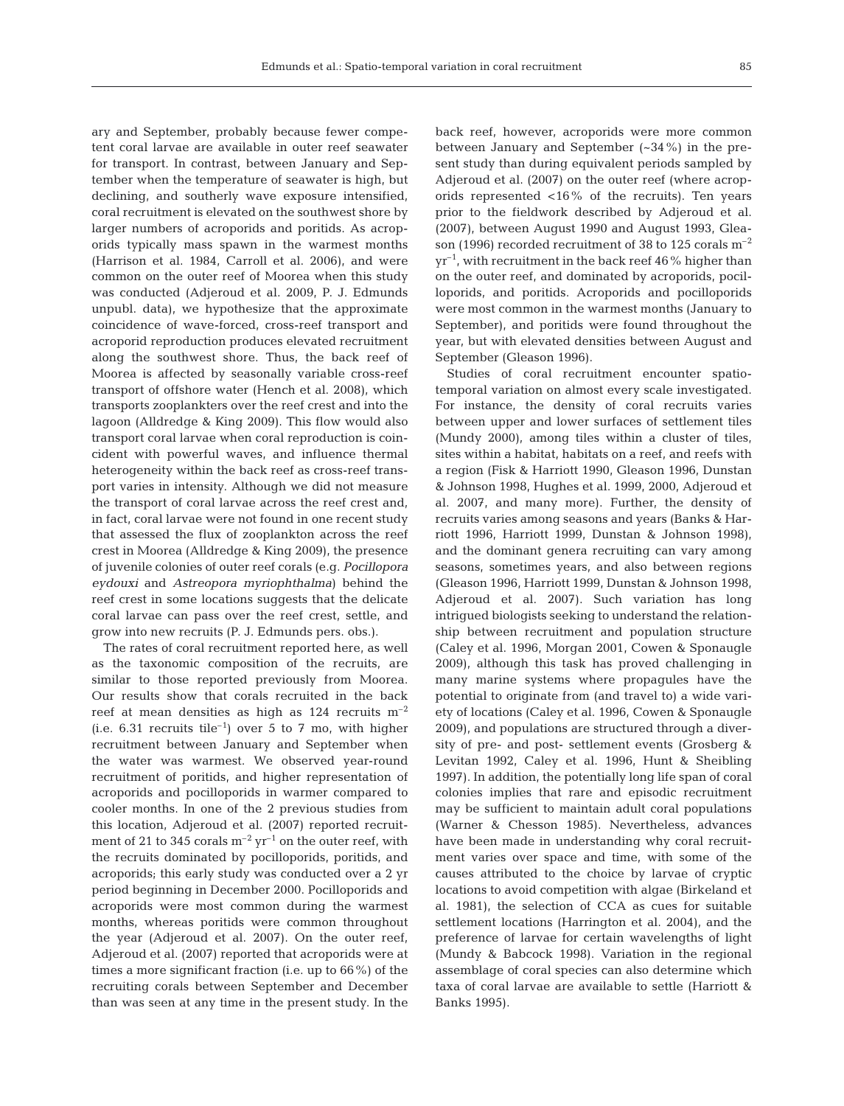ary and September, probably because fewer competent coral larvae are available in outer reef seawater for transport. In contrast, between January and September when the temperature of seawater is high, but declining, and southerly wave exposure intensified, coral recruitment is elevated on the southwest shore by larger numbers of acroporids and poritids. As acroporids typically mass spawn in the warmest months (Harrison et al. 1984, Carroll et al. 2006), and were common on the outer reef of Moorea when this study was conducted (Adjeroud et al. 2009, P. J. Edmunds unpubl. data), we hypothesize that the approximate coincidence of wave-forced, cross-reef transport and acroporid reproduction produces elevated recruitment along the southwest shore. Thus, the back reef of Moorea is affected by seasonally variable cross-reef transport of offshore water (Hench et al. 2008), which transports zooplankters over the reef crest and into the lagoon (Alldredge & King 2009). This flow would also transport coral larvae when coral reproduction is coincident with powerful waves, and influence thermal heterogeneity within the back reef as cross-reef transport varies in intensity. Although we did not measure the transport of coral larvae across the reef crest and, in fact, coral larvae were not found in one recent study that assessed the flux of zooplankton across the reef crest in Moorea (Alldredge & King 2009), the presence of juvenile colonies of outer reef corals (e.g. *Pocillopora eydouxi* and *Astreopora myriophthalma*) behind the reef crest in some locations suggests that the delicate coral larvae can pass over the reef crest, settle, and grow into new recruits (P. J. Edmunds pers. obs.).

The rates of coral recruitment reported here, as well as the taxonomic composition of the recruits, are similar to those reported previously from Moorea. Our results show that corals recruited in the back reef at mean densities as high as  $124$  recruits  $m^{-2}$ (i.e. 6.31 recruits tile<sup>-1</sup>) over 5 to 7 mo, with higher recruitment between January and September when the water was warmest. We observed year-round recruitment of poritids, and higher representation of acroporids and pocilloporids in warmer compared to cooler months. In one of the 2 previous studies from this location, Adjeroud et al. (2007) reported recruitment of 21 to 345 corals  $m^{-2}$  yr<sup>-1</sup> on the outer reef, with the recruits dominated by pocilloporids, poritids, and acroporids; this early study was conducted over a 2 yr period beginning in December 2000. Pocilloporids and acroporids were most common during the warmest months, whereas poritids were common throughout the year (Adjeroud et al. 2007). On the outer reef, Adjeroud et al. (2007) reported that acroporids were at times a more significant fraction (i.e. up to 66%) of the recruiting corals between September and December than was seen at any time in the present study. In the

back reef, however, acroporids were more common between January and September (~34%) in the present study than during equivalent periods sampled by Adjeroud et al. (2007) on the outer reef (where acroporids represented <16% of the recruits). Ten years prior to the fieldwork described by Adjeroud et al. (2007), between August 1990 and August 1993, Gleason (1996) recorded recruitment of 38 to 125 corals  $m^{-2}$  $yr^{-1}$ , with recruitment in the back reef 46% higher than on the outer reef, and dominated by acroporids, pocilloporids, and poritids. Acroporids and pocilloporids were most common in the warmest months (January to September), and poritids were found throughout the year, but with elevated densities between August and September (Gleason 1996).

Studies of coral recruitment encounter spatiotemporal variation on almost every scale investigated. For instance, the density of coral recruits varies between upper and lower surfaces of settlement tiles (Mundy 2000), among tiles within a cluster of tiles, sites within a habitat, habitats on a reef, and reefs with a region (Fisk & Harriott 1990, Gleason 1996, Dunstan & Johnson 1998, Hughes et al. 1999, 2000, Adjeroud et al. 2007, and many more). Further, the density of recruits varies among seasons and years (Banks & Harriott 1996, Harriott 1999, Dunstan & Johnson 1998), and the dominant genera recruiting can vary among seasons, sometimes years, and also between regions (Gleason 1996, Harriott 1999, Dunstan & Johnson 1998, Adjeroud et al. 2007). Such variation has long intrigued biologists seeking to understand the relationship between recruitment and population structure (Caley et al. 1996, Morgan 2001, Cowen & Sponaugle 2009), although this task has proved challenging in many marine systems where propagules have the potential to originate from (and travel to) a wide variety of locations (Caley et al. 1996, Cowen & Sponaugle 2009), and populations are structured through a diversity of pre- and post- settlement events (Grosberg & Levitan 1992, Caley et al. 1996, Hunt & Sheibling 1997). In addition, the potentially long life span of coral colonies implies that rare and episodic recruitment may be sufficient to maintain adult coral populations (Warner & Chesson 1985). Nevertheless, advances have been made in understanding why coral recruitment varies over space and time, with some of the causes attributed to the choice by larvae of cryptic locations to avoid competition with algae (Birkeland et al. 1981), the selection of CCA as cues for suitable settlement locations (Harrington et al. 2004), and the preference of larvae for certain wavelengths of light (Mundy & Babcock 1998). Variation in the regional assemblage of coral species can also determine which taxa of coral larvae are available to settle (Harriott & Banks 1995).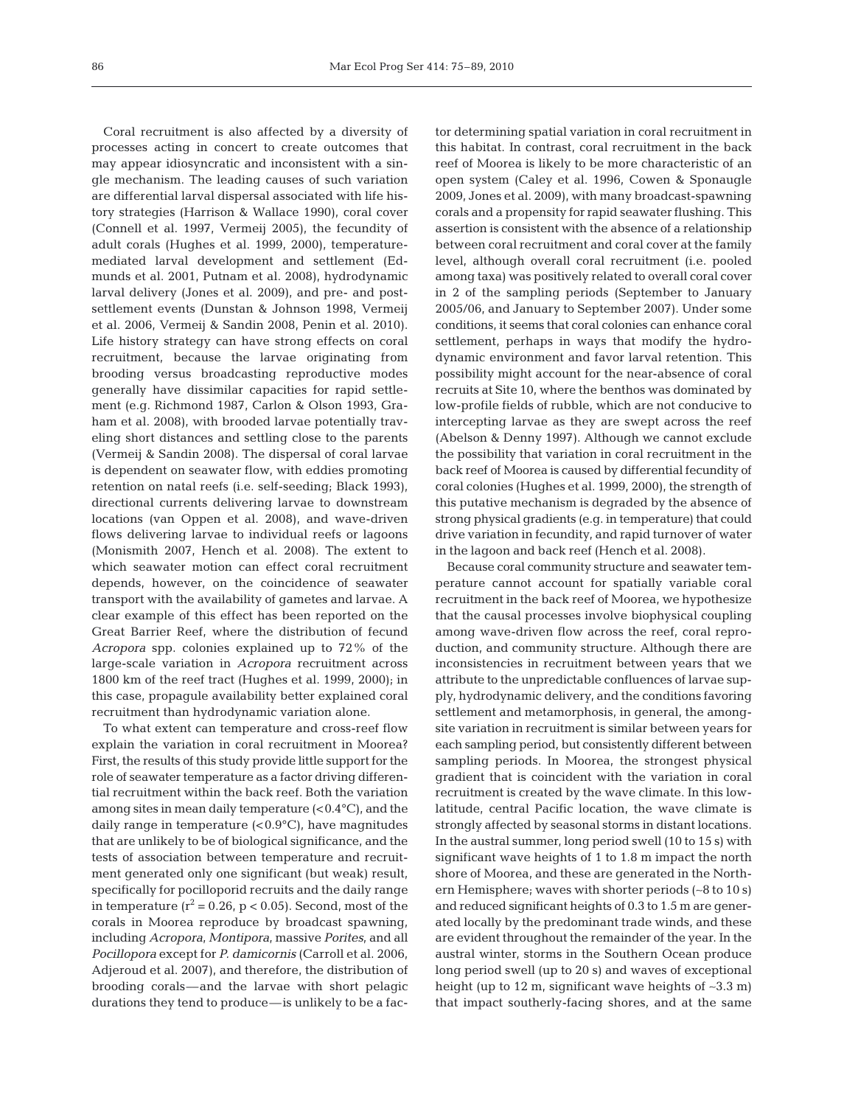Coral recruitment is also affected by a diversity of processes acting in concert to create outcomes that may appear idiosyncratic and inconsistent with a single mechanism. The leading causes of such variation are differential larval dispersal associated with life history strategies (Harrison & Wallace 1990), coral cover (Connell et al. 1997, Vermeij 2005), the fecundity of adult corals (Hughes et al. 1999, 2000), temperaturemediated larval development and settlement (Edmunds et al. 2001, Putnam et al. 2008), hydrodynamic larval delivery (Jones et al. 2009), and pre- and postsettlement events (Dunstan & Johnson 1998, Vermeij et al. 2006, Vermeij & Sandin 2008, Penin et al. 2010). Life history strategy can have strong effects on coral recruitment, because the larvae originating from brooding versus broadcasting reproductive modes generally have dissimilar capacities for rapid settlement (e.g. Richmond 1987, Carlon & Olson 1993, Graham et al. 2008), with brooded larvae potentially traveling short distances and settling close to the parents (Vermeij & Sandin 2008). The dispersal of coral larvae is dependent on seawater flow, with eddies promoting retention on natal reefs (i.e. self-seeding; Black 1993), directional currents delivering larvae to downstream locations (van Oppen et al. 2008), and wave-driven flows delivering larvae to individual reefs or lagoons (Monismith 2007, Hench et al. 2008). The extent to which seawater motion can effect coral recruitment depends, however, on the coincidence of seawater transport with the availability of gametes and larvae. A clear example of this effect has been reported on the Great Barrier Reef, where the distribution of fecund *Acropora* spp. colonies explained up to 72% of the large-scale variation in *Acropora* recruitment across 1800 km of the reef tract (Hughes et al. 1999, 2000); in this case, propagule availability better explained coral recruitment than hydrodynamic variation alone.

To what extent can temperature and cross-reef flow explain the variation in coral recruitment in Moorea? First, the results of this study provide little support for the role of seawater temperature as a factor driving differential recruitment within the back reef. Both the variation among sites in mean daily temperature  $(<0.4\degree C)$ , and the daily range in temperature (<0.9°C), have magnitudes that are unlikely to be of biological significance, and the tests of association between temperature and recruitment generated only one significant (but weak) result, specifically for pocilloporid recruits and the daily range in temperature  $(r^2 = 0.26, p < 0.05)$ . Second, most of the corals in Moorea reproduce by broadcast spawning, including *Acropora*, *Montipora*, massive *Porites*, and all *Pocillopora* except for *P. damicornis* (Carroll et al. 2006, Adjeroud et al. 2007), and therefore, the distribution of brooding corals––and the larvae with short pelagic durations they tend to produce––is unlikely to be a factor determining spatial variation in coral recruitment in this habitat. In contrast, coral recruitment in the back reef of Moorea is likely to be more characteristic of an open system (Caley et al. 1996, Cowen & Sponaugle 2009, Jones et al. 2009), with many broadcast-spawning corals and a propensity for rapid seawater flushing. This assertion is consistent with the absence of a relationship between coral recruitment and coral cover at the family level, although overall coral recruitment (i.e. pooled among taxa) was positively related to overall coral cover in 2 of the sampling periods (September to January 2005/06, and January to September 2007). Under some conditions, it seems that coral colonies can enhance coral settlement, perhaps in ways that modify the hydrodynamic environment and favor larval retention. This possibility might account for the near-absence of coral recruits at Site 10, where the benthos was dominated by low-profile fields of rubble, which are not conducive to intercepting larvae as they are swept across the reef (Abelson & Denny 1997). Although we cannot exclude the possibility that variation in coral recruitment in the back reef of Moorea is caused by differential fecundity of coral colonies (Hughes et al. 1999, 2000), the strength of this putative mechanism is degraded by the absence of strong physical gradients (e.g. in temperature) that could drive variation in fecundity, and rapid turnover of water in the lagoon and back reef (Hench et al. 2008).

Because coral community structure and seawater temperature cannot account for spatially variable coral recruitment in the back reef of Moorea, we hypothesize that the causal processes involve biophysical coupling among wave-driven flow across the reef, coral reproduction, and community structure. Although there are inconsistencies in recruitment between years that we attribute to the unpredictable confluences of larvae supply, hydrodynamic delivery, and the conditions favoring settlement and metamorphosis, in general, the amongsite variation in recruitment is similar between years for each sampling period, but consistently different between sampling periods. In Moorea, the strongest physical gradient that is coincident with the variation in coral recruitment is created by the wave climate. In this lowlatitude, central Pacific location, the wave climate is strongly affected by seasonal storms in distant locations. In the austral summer, long period swell (10 to 15 s) with significant wave heights of 1 to 1.8 m impact the north shore of Moorea, and these are generated in the Northern Hemisphere; waves with shorter periods (∼8 to 10 s) and reduced significant heights of 0.3 to 1.5 m are generated locally by the predominant trade winds, and these are evident throughout the remainder of the year. In the austral winter, storms in the Southern Ocean produce long period swell (up to 20 s) and waves of exceptional height (up to 12 m, significant wave heights of ∼3.3 m) that impact southerly-facing shores, and at the same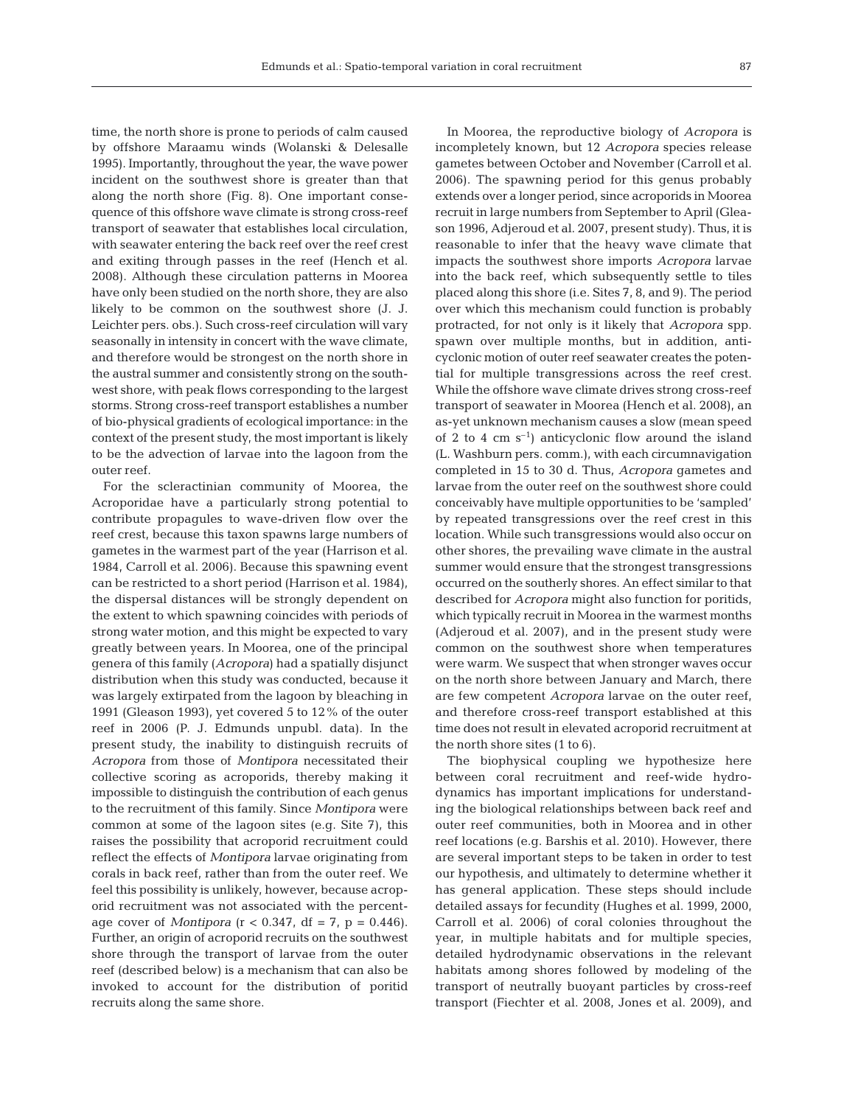time, the north shore is prone to periods of calm caused by offshore Maraamu winds (Wolanski & Delesalle 1995). Importantly, throughout the year, the wave power incident on the southwest shore is greater than that along the north shore (Fig. 8). One important consequence of this offshore wave climate is strong cross-reef transport of seawater that establishes local circulation, with seawater entering the back reef over the reef crest and exiting through passes in the reef (Hench et al. 2008). Although these circulation patterns in Moorea have only been studied on the north shore, they are also likely to be common on the southwest shore (J. J. Leichter pers. obs.). Such cross-reef circulation will vary seasonally in intensity in concert with the wave climate, and therefore would be strongest on the north shore in the austral summer and consistently strong on the southwest shore, with peak flows corresponding to the largest storms. Strong cross-reef transport establishes a number of bio-physical gradients of ecological importance: in the context of the present study, the most important is likely to be the advection of larvae into the lagoon from the outer reef.

For the scleractinian community of Moorea, the Acroporidae have a particularly strong potential to contribute propagules to wave-driven flow over the reef crest, because this taxon spawns large numbers of gametes in the warmest part of the year (Harrison et al. 1984, Carroll et al. 2006). Because this spawning event can be restricted to a short period (Harrison et al. 1984), the dispersal distances will be strongly dependent on the extent to which spawning coincides with periods of strong water motion, and this might be expected to vary greatly between years. In Moorea, one of the principal genera of this family (*Acropora*) had a spatially disjunct distribution when this study was conducted, because it was largely extirpated from the lagoon by bleaching in 1991 (Gleason 1993), yet covered 5 to 12% of the outer reef in 2006 (P. J. Edmunds unpubl. data). In the present study, the inability to distinguish recruits of *Acropora* from those of *Montipora* necessitated their collective scoring as acroporids, thereby making it impossible to distinguish the contribution of each genus to the recruitment of this family. Since *Montipora* were common at some of the lagoon sites (e.g. Site 7), this raises the possibility that acroporid recruitment could reflect the effects of *Montipora* larvae originating from corals in back reef, rather than from the outer reef. We feel this possibility is unlikely, however, because acroporid recruitment was not associated with the percentage cover of *Montipora* ( $r < 0.347$ , df = 7,  $p = 0.446$ ). Further, an origin of acroporid recruits on the southwest shore through the transport of larvae from the outer reef (described below) is a mechanism that can also be invoked to account for the distribution of poritid recruits along the same shore.

In Moorea, the reproductive biology of *Acropora* is incompletely known, but 12 *Acropora* species release gametes between October and November (Carroll et al. 2006). The spawning period for this genus probably extends over a longer period, since acroporids in Moorea recruit in large numbers from September to April (Gleason 1996, Adjeroud et al. 2007, present study). Thus, it is reasonable to infer that the heavy wave climate that impacts the southwest shore imports *Acropora* larvae into the back reef, which subsequently settle to tiles placed along this shore (i.e. Sites 7, 8, and 9). The period over which this mechanism could function is probably protracted, for not only is it likely that *Acropora* spp. spawn over multiple months, but in addition, anticyclonic motion of outer reef seawater creates the potential for multiple transgressions across the reef crest. While the offshore wave climate drives strong cross-reef transport of seawater in Moorea (Hench et al. 2008), an as-yet unknown mechanism causes a slow (mean speed of 2 to 4 cm  $s^{-1}$ ) anticyclonic flow around the island (L. Washburn pers. comm.), with each circumnavigation completed in 15 to 30 d. Thus, *Acropora* gametes and larvae from the outer reef on the southwest shore could conceivably have multiple opportunities to be 'sampled' by repeated transgressions over the reef crest in this location. While such transgressions would also occur on other shores, the prevailing wave climate in the austral summer would ensure that the strongest transgressions occurred on the southerly shores. An effect similar to that described for *Acropora* might also function for poritids, which typically recruit in Moorea in the warmest months (Adjeroud et al. 2007), and in the present study were common on the southwest shore when temperatures were warm. We suspect that when stronger waves occur on the north shore between January and March, there are few competent *Acropora* larvae on the outer reef, and therefore cross-reef transport established at this time does not result in elevated acroporid recruitment at the north shore sites (1 to 6).

The biophysical coupling we hypothesize here between coral recruitment and reef-wide hydrodynamics has important implications for understanding the biological relationships between back reef and outer reef communities, both in Moorea and in other reef locations (e.g. Barshis et al. 2010). However, there are several important steps to be taken in order to test our hypothesis, and ultimately to determine whether it has general application. These steps should include detailed assays for fecundity (Hughes et al. 1999, 2000, Carroll et al. 2006) of coral colonies throughout the year, in multiple habitats and for multiple species, detailed hydrodynamic observations in the relevant habitats among shores followed by modeling of the transport of neutrally buoyant particles by cross-reef transport (Fiechter et al. 2008, Jones et al. 2009), and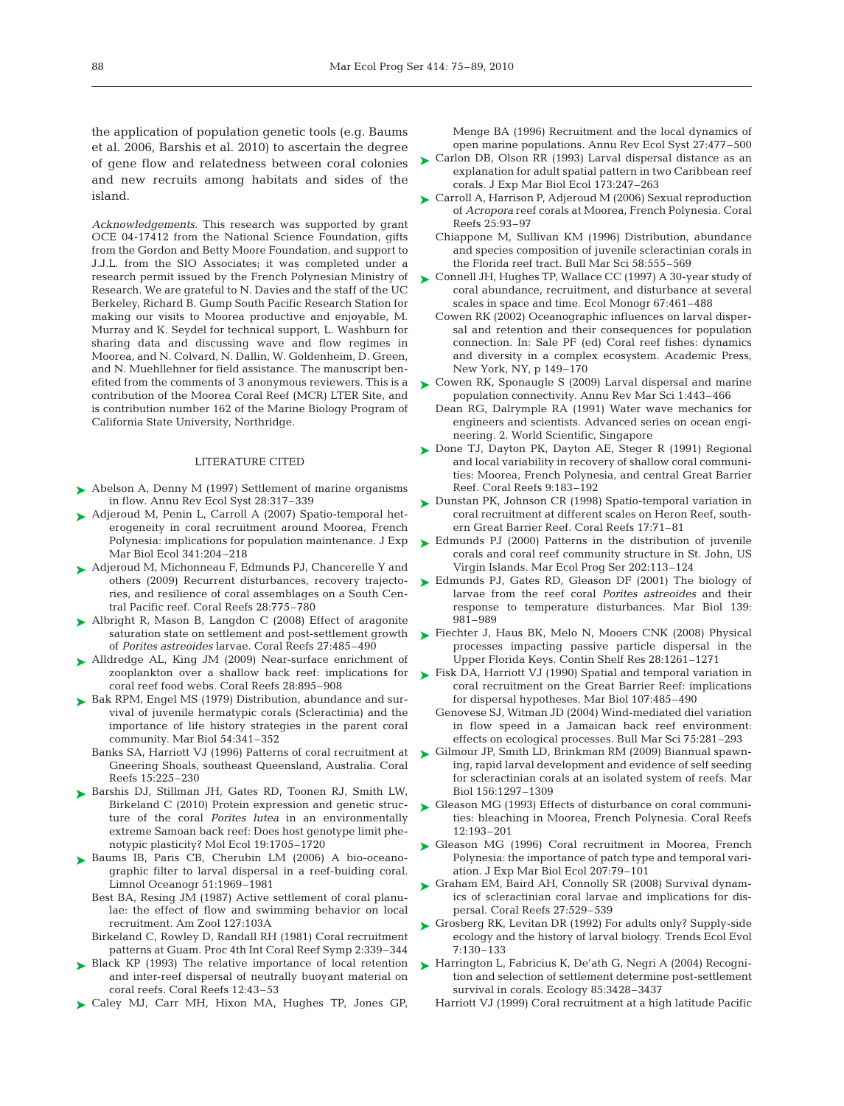the application of population genetic tools (e.g. Baums et al. 2006, Barshis et al. 2010) to ascertain the degree of gene flow and relatedness between coral colonies and new recruits among habitats and sides of the island.

*Acknowledgements.* This research was supported by grant OCE 04-17412 from the National Science Foundation, gifts from the Gordon and Betty Moore Foundation, and support to J.J.L. from the SIO Associates; it was completed under a research permit issued by the French Polynesian Ministry of Research. We are grateful to N. Davies and the staff of the UC Berkeley, Richard B. Gump South Pacific Research Station for making our visits to Moorea productive and enjoyable, M. Murray and K. Seydel for technical support, L. Washburn for sharing data and discussing wave and flow regimes in Moorea, and N. Colvard, N. Dallin, W. Goldenheim, D. Green, and N. Muehllehner for field assistance. The manuscript benefited from the comments of 3 anonymous reviewers. This is a contribution of the Moorea Coral Reef (MCR) LTER Site, and is contribution number 162 of the Marine Biology Program of California State University, Northridge.

#### LITERATURE CITED

- ► Abelson A, Denny M (1997) Settlement of marine organisms in flow. Annu Rev Ecol Syst 28:317–339
- ► Adjeroud M, Penin L, Carroll A (2007) Spatio-temporal heterogeneity in coral recruitment around Moorea, French Polynesia: implications for population maintenance. J Exp Mar Biol Ecol 341:204–218
- ► Adjeroud M, Michonneau F, Edmunds PJ, Chancerelle Y and others (2009) Recurrent disturbances, recovery trajectories, and resilience of coral assemblages on a South Central Pacific reef. Coral Reefs 28:775–780
- ► Albright R, Mason B, Langdon C (2008) Effect of aragonite saturation state on settlement and post-settlement growth of *Porites astreoides* larvae. Coral Reefs 27:485–490
- Alldredge AL, King JM (2009) Near-surface enrichment of ➤ zooplankton over a shallow back reef: implications for coral reef food webs. Coral Reefs 28:895–908
- ► Bak RPM, Engel MS (1979) Distribution, abundance and survival of juvenile hermatypic corals (Scleractinia) and the importance of life history strategies in the parent coral community. Mar Biol 54:341–352
	- Gneering Shoals, southeast Queensland, Australia. Coral Reefs 15:225–230
- ▶ Barshis DJ, Stillman JH, Gates RD, Toonen RJ, Smith LW, Birkeland C (2010) Protein expression and genetic structure of the coral *Porites lutea* in an environmentally extreme Samoan back reef: Does host genotype limit phenotypic plasticity? Mol Ecol 19:1705–1720
- ▶ Baums IB, Paris CB, Cherubin LM (2006) A bio-oceanographic filter to larval dispersal in a reef-buiding coral. Limnol Oceanogr 51:1969–1981
	- Best BA, Resing JM (1987) Active settlement of coral planulae: the effect of flow and swimming behavior on local recruitment. Am Zool 127:103A
	- Birkeland C, Rowley D, Randall RH (1981) Coral recruitment patterns at Guam. Proc 4th Int Coral Reef Symp 2:339–344
- ► Black KP (1993) The relative importance of local retention and inter-reef dispersal of neutrally buoyant material on coral reefs. Coral Reefs 12:43–53
- ▶ Caley MJ, Carr MH, Hixon MA, Hughes TP, Jones GP,

Menge BA (1996) Recruitment and the local dynamics of open marine populations. Annu Rev Ecol Syst 27:477–500

- ► Carlon DB, Olson RR (1993) Larval dispersal distance as an explanation for adult spatial pattern in two Caribbean reef corals. J Exp Mar Biol Ecol 173:247–263
- ► Carroll A, Harrison P, Adjeroud M (2006) Sexual reproduction of *Acropora* reef corals at Moorea, French Polynesia. Coral Reefs 25:93–97
	- Chiappone M, Sullivan KM (1996) Distribution, abundance and species composition of juvenile scleractinian corals in the Florida reef tract. Bull Mar Sci 58:555–569
- ► Connell JH, Hughes TP, Wallace CC (1997) A 30-year study of coral abundance, recruitment, and disturbance at several scales in space and time. Ecol Monogr 67:461–488
	- Cowen RK (2002) Oceanographic influences on larval dispersal and retention and their consequences for population connection. In: Sale PF (ed) Coral reef fishes: dynamics and diversity in a complex ecosystem. Academic Press, New York, NY, p 149–170
- ► Cowen RK, Sponaugle S (2009) Larval dispersal and marine population connectivity. Annu Rev Mar Sci 1:443–466
	- Dean RG, Dalrymple RA (1991) Water wave mechanics for engineers and scientists. Advanced series on ocean engineering. 2. World Scientific, Singapore
- ► Done TJ, Dayton PK, Dayton AE, Steger R (1991) Regional and local variability in recovery of shallow coral communities: Moorea, French Polynesia, and central Great Barrier Reef. Coral Reefs 9:183–192
- ► Dunstan PK, Johnson CR (1998) Spatio-temporal variation in coral recruitment at different scales on Heron Reef, southern Great Barrier Reef. Coral Reefs 17:71–81
- ► Edmunds PJ (2000) Patterns in the distribution of juvenile corals and coral reef community structure in St. John, US Virgin Islands. Mar Ecol Prog Ser 202:113–124
- ► Edmunds PJ, Gates RD, Gleason DF (2001) The biology of larvae from the reef coral *Porites astreoides* and their response to temperature disturbances. Mar Biol 139: 981–989
- ► Fiechter J, Haus BK, Melo N, Mooers CNK (2008) Physical processes impacting passive particle dispersal in the Upper Florida Keys. Contin Shelf Res 28:1261–1271
- ► Fisk DA, Harriott VJ (1990) Spatial and temporal variation in coral recruitment on the Great Barrier Reef: implications for dispersal hypotheses. Mar Biol 107:485–490
	- Genovese SJ, Witman JD (2004) Wind-mediated diel variation in flow speed in a Jamaican back reef environment: effects on ecological processes. Bull Mar Sci 75:281–293
- Banks SA, Harriott VJ (1996) Patterns of coral recruitment at  $\quad \blacktriangleright$  Gilmour JP, Smith LD, Brinkman RM (2009) Biannual spawning, rapid larval development and evidence of self seeding for scleractinian corals at an isolated system of reefs. Mar Biol 156:1297–1309
	- ► Gleason MG (1993) Effects of disturbance on coral communities: bleaching in Moorea, French Polynesia. Coral Reefs 12:193–201
	- ▶ Gleason MG (1996) Coral recruitment in Moorea, French Polynesia: the importance of patch type and temporal variation. J Exp Mar Biol Ecol 207:79–101
	- ► Graham EM, Baird AH, Connolly SR (2008) Survival dynamics of scleractinian coral larvae and implications for dispersal. Coral Reefs 27:529–539
	- ► Grosberg RK, Levitan DR (1992) For adults only? Supply-side ecology and the history of larval biology. Trends Ecol Evol 7:130–133
	- ► Harrington L, Fabricius K, De'ath G, Negri A (2004) Recogni tion and selection of settlement determine post-settlement survival in corals. Ecology 85:3428–3437
		- Harriott VJ (1999) Coral recruitment at a high latitude Pacific